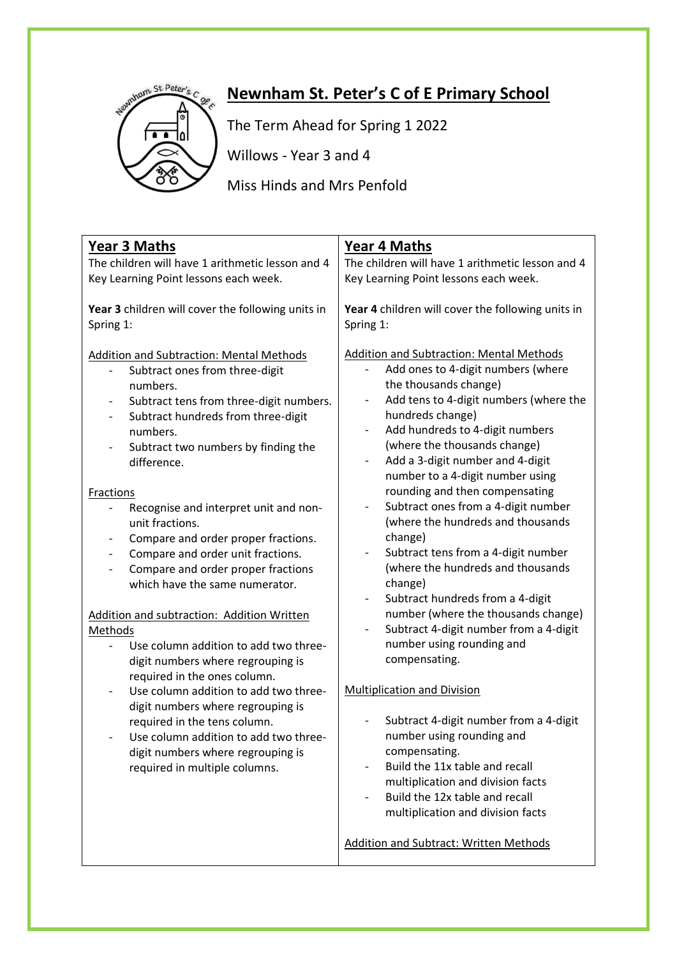

## **Newnham St. Peter's C of E Primary School**

The Term Ahead for Spring 1 2022

Willows - Year 3 and 4

Miss Hinds and Mrs Penfold

| <b>Year 3 Maths</b>                                                                                                                                                                                                                                                                                                                                                                                                                                                                                                                                                                                                                                                                                                                                                                                                                                                                                                                                                                                                                                           | <b>Year 4 Maths</b>                                                                                                                                                                                                                                                                                                                                                                                                                                                                                                                                                                                                                                                                                                                                                                                                                                                                                                                                                                                                                                                                                                                                                                                                  |
|---------------------------------------------------------------------------------------------------------------------------------------------------------------------------------------------------------------------------------------------------------------------------------------------------------------------------------------------------------------------------------------------------------------------------------------------------------------------------------------------------------------------------------------------------------------------------------------------------------------------------------------------------------------------------------------------------------------------------------------------------------------------------------------------------------------------------------------------------------------------------------------------------------------------------------------------------------------------------------------------------------------------------------------------------------------|----------------------------------------------------------------------------------------------------------------------------------------------------------------------------------------------------------------------------------------------------------------------------------------------------------------------------------------------------------------------------------------------------------------------------------------------------------------------------------------------------------------------------------------------------------------------------------------------------------------------------------------------------------------------------------------------------------------------------------------------------------------------------------------------------------------------------------------------------------------------------------------------------------------------------------------------------------------------------------------------------------------------------------------------------------------------------------------------------------------------------------------------------------------------------------------------------------------------|
| The children will have 1 arithmetic lesson and 4                                                                                                                                                                                                                                                                                                                                                                                                                                                                                                                                                                                                                                                                                                                                                                                                                                                                                                                                                                                                              | The children will have 1 arithmetic lesson and 4                                                                                                                                                                                                                                                                                                                                                                                                                                                                                                                                                                                                                                                                                                                                                                                                                                                                                                                                                                                                                                                                                                                                                                     |
| Key Learning Point lessons each week.                                                                                                                                                                                                                                                                                                                                                                                                                                                                                                                                                                                                                                                                                                                                                                                                                                                                                                                                                                                                                         | Key Learning Point lessons each week.                                                                                                                                                                                                                                                                                                                                                                                                                                                                                                                                                                                                                                                                                                                                                                                                                                                                                                                                                                                                                                                                                                                                                                                |
| Year 3 children will cover the following units in<br>Spring 1:                                                                                                                                                                                                                                                                                                                                                                                                                                                                                                                                                                                                                                                                                                                                                                                                                                                                                                                                                                                                | Year 4 children will cover the following units in<br>Spring 1:                                                                                                                                                                                                                                                                                                                                                                                                                                                                                                                                                                                                                                                                                                                                                                                                                                                                                                                                                                                                                                                                                                                                                       |
| <b>Addition and Subtraction: Mental Methods</b><br>Subtract ones from three-digit<br>numbers.<br>Subtract tens from three-digit numbers.<br>Subtract hundreds from three-digit<br>$\overline{\phantom{0}}$<br>numbers.<br>Subtract two numbers by finding the<br>$\qquad \qquad -$<br>difference.<br>Fractions<br>Recognise and interpret unit and non-<br>$\overline{\phantom{0}}$<br>unit fractions.<br>Compare and order proper fractions.<br>Compare and order unit fractions.<br>$\qquad \qquad -$<br>Compare and order proper fractions<br>$\overline{\phantom{0}}$<br>which have the same numerator.<br>Addition and subtraction: Addition Written<br>Methods<br>Use column addition to add two three-<br>$\overline{a}$<br>digit numbers where regrouping is<br>required in the ones column.<br>Use column addition to add two three-<br>$\overline{\phantom{0}}$<br>digit numbers where regrouping is<br>required in the tens column.<br>Use column addition to add two three-<br>digit numbers where regrouping is<br>required in multiple columns. | <b>Addition and Subtraction: Mental Methods</b><br>Add ones to 4-digit numbers (where<br>the thousands change)<br>Add tens to 4-digit numbers (where the<br>$\overline{\phantom{0}}$<br>hundreds change)<br>Add hundreds to 4-digit numbers<br>-<br>(where the thousands change)<br>Add a 3-digit number and 4-digit<br>$\overline{\phantom{0}}$<br>number to a 4-digit number using<br>rounding and then compensating<br>Subtract ones from a 4-digit number<br>$\qquad \qquad -$<br>(where the hundreds and thousands<br>change)<br>Subtract tens from a 4-digit number<br>$\overline{\phantom{0}}$<br>(where the hundreds and thousands<br>change)<br>Subtract hundreds from a 4-digit<br>$\qquad \qquad -$<br>number (where the thousands change)<br>Subtract 4-digit number from a 4-digit<br>$\qquad \qquad -$<br>number using rounding and<br>compensating.<br><b>Multiplication and Division</b><br>Subtract 4-digit number from a 4-digit<br>$\overline{\phantom{0}}$<br>number using rounding and<br>compensating.<br>Build the 11x table and recall<br>multiplication and division facts<br>Build the 12x table and recall<br>multiplication and division facts<br>Addition and Subtract: Written Methods |
|                                                                                                                                                                                                                                                                                                                                                                                                                                                                                                                                                                                                                                                                                                                                                                                                                                                                                                                                                                                                                                                               |                                                                                                                                                                                                                                                                                                                                                                                                                                                                                                                                                                                                                                                                                                                                                                                                                                                                                                                                                                                                                                                                                                                                                                                                                      |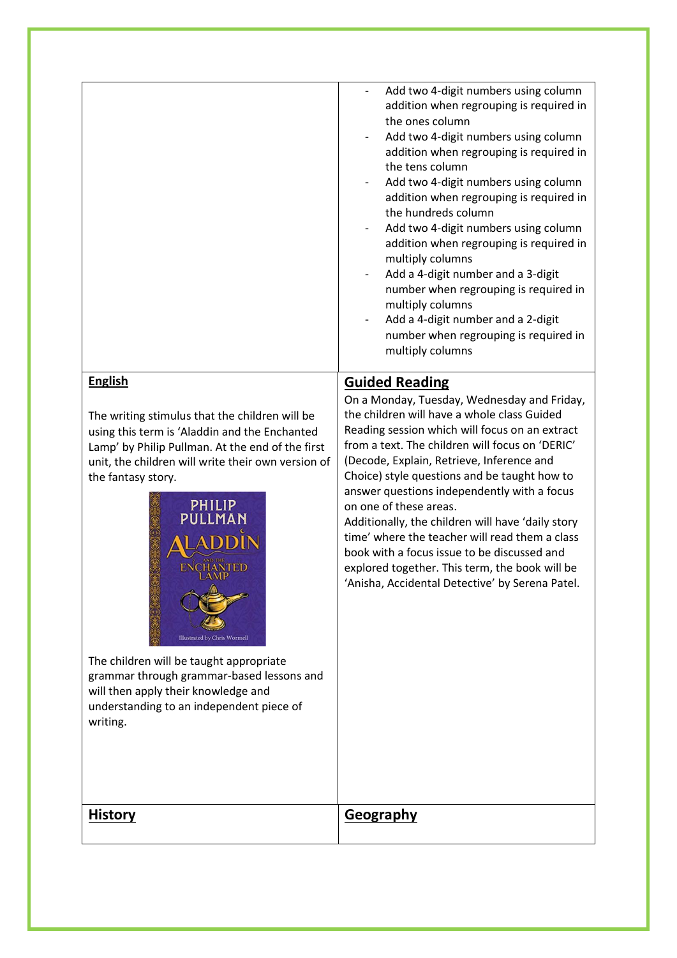| multiply columns<br><b>English</b><br><b>Guided Reading</b><br>On a Monday, Tuesday, Wednesday and Friday,<br>the children will have a whole class Guided<br>The writing stimulus that the children will be<br>Reading session which will focus on an extract<br>using this term is 'Aladdin and the Enchanted<br>from a text. The children will focus on 'DERIC'<br>Lamp' by Philip Pullman. At the end of the first<br>(Decode, Explain, Retrieve, Inference and<br>unit, the children will write their own version of<br>Choice) style questions and be taught how to<br>the fantasy story.<br>answer questions independently with a focus<br>PHILIP<br>PULLMAN<br>on one of these areas.<br>Additionally, the children will have 'daily story<br>time' where the teacher will read them a class<br>book with a focus issue to be discussed and<br>explored together. This term, the book will be<br>ENCHANTED<br>'Anisha, Accidental Detective' by Serena Patel.<br>Illustrated by Chris Wormell<br>The children will be taught appropriate<br>grammar through grammar-based lessons and<br>will then apply their knowledge and<br>understanding to an independent piece of<br>writing. | <u>History</u> | Add two 4-digit numbers using column<br>addition when regrouping is required in<br>the ones column<br>Add two 4-digit numbers using column<br>addition when regrouping is required in<br>the tens column<br>Add two 4-digit numbers using column<br>addition when regrouping is required in<br>the hundreds column<br>Add two 4-digit numbers using column<br>addition when regrouping is required in<br>multiply columns<br>Add a 4-digit number and a 3-digit<br>number when regrouping is required in<br>multiply columns<br>Add a 4-digit number and a 2-digit<br>number when regrouping is required in<br><b>Geography</b> |
|---------------------------------------------------------------------------------------------------------------------------------------------------------------------------------------------------------------------------------------------------------------------------------------------------------------------------------------------------------------------------------------------------------------------------------------------------------------------------------------------------------------------------------------------------------------------------------------------------------------------------------------------------------------------------------------------------------------------------------------------------------------------------------------------------------------------------------------------------------------------------------------------------------------------------------------------------------------------------------------------------------------------------------------------------------------------------------------------------------------------------------------------------------------------------------------------|----------------|---------------------------------------------------------------------------------------------------------------------------------------------------------------------------------------------------------------------------------------------------------------------------------------------------------------------------------------------------------------------------------------------------------------------------------------------------------------------------------------------------------------------------------------------------------------------------------------------------------------------------------|
|                                                                                                                                                                                                                                                                                                                                                                                                                                                                                                                                                                                                                                                                                                                                                                                                                                                                                                                                                                                                                                                                                                                                                                                             |                |                                                                                                                                                                                                                                                                                                                                                                                                                                                                                                                                                                                                                                 |
|                                                                                                                                                                                                                                                                                                                                                                                                                                                                                                                                                                                                                                                                                                                                                                                                                                                                                                                                                                                                                                                                                                                                                                                             |                |                                                                                                                                                                                                                                                                                                                                                                                                                                                                                                                                                                                                                                 |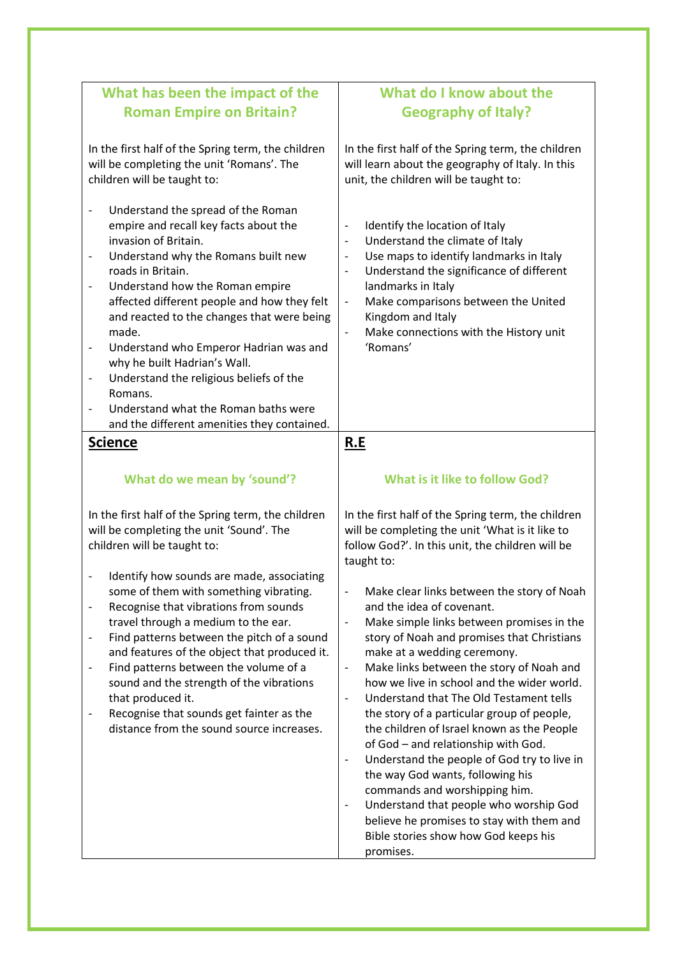| What has been the impact of the                                                                                                                                                                                                                                                                                                                                                                                                                                                                                                                                                              | What do I know about the                                                                                                                                                                                                                                                                                                                                                                                                                                                                                                                                                                                                                                                                                                                                                                                                                                                                            |
|----------------------------------------------------------------------------------------------------------------------------------------------------------------------------------------------------------------------------------------------------------------------------------------------------------------------------------------------------------------------------------------------------------------------------------------------------------------------------------------------------------------------------------------------------------------------------------------------|-----------------------------------------------------------------------------------------------------------------------------------------------------------------------------------------------------------------------------------------------------------------------------------------------------------------------------------------------------------------------------------------------------------------------------------------------------------------------------------------------------------------------------------------------------------------------------------------------------------------------------------------------------------------------------------------------------------------------------------------------------------------------------------------------------------------------------------------------------------------------------------------------------|
| <b>Roman Empire on Britain?</b>                                                                                                                                                                                                                                                                                                                                                                                                                                                                                                                                                              | <b>Geography of Italy?</b>                                                                                                                                                                                                                                                                                                                                                                                                                                                                                                                                                                                                                                                                                                                                                                                                                                                                          |
|                                                                                                                                                                                                                                                                                                                                                                                                                                                                                                                                                                                              |                                                                                                                                                                                                                                                                                                                                                                                                                                                                                                                                                                                                                                                                                                                                                                                                                                                                                                     |
| In the first half of the Spring term, the children<br>will be completing the unit 'Romans'. The<br>children will be taught to:                                                                                                                                                                                                                                                                                                                                                                                                                                                               | In the first half of the Spring term, the children<br>will learn about the geography of Italy. In this<br>unit, the children will be taught to:                                                                                                                                                                                                                                                                                                                                                                                                                                                                                                                                                                                                                                                                                                                                                     |
| Understand the spread of the Roman<br>$\overline{\phantom{0}}$<br>empire and recall key facts about the<br>invasion of Britain.<br>Understand why the Romans built new<br>roads in Britain.<br>Understand how the Roman empire<br>affected different people and how they felt<br>and reacted to the changes that were being<br>made.<br>Understand who Emperor Hadrian was and<br>-<br>why he built Hadrian's Wall.<br>Understand the religious beliefs of the<br>$\overline{\phantom{0}}$<br>Romans.<br>Understand what the Roman baths were<br>and the different amenities they contained. | Identify the location of Italy<br>$\overline{\phantom{m}}$<br>Understand the climate of Italy<br>$\overline{\phantom{a}}$<br>Use maps to identify landmarks in Italy<br>$\qquad \qquad \blacksquare$<br>Understand the significance of different<br>$\overline{\phantom{a}}$<br>landmarks in Italy<br>Make comparisons between the United<br>$\qquad \qquad -$<br>Kingdom and Italy<br>Make connections with the History unit<br>$\qquad \qquad \blacksquare$<br>'Romans'                                                                                                                                                                                                                                                                                                                                                                                                                           |
| <b>Science</b>                                                                                                                                                                                                                                                                                                                                                                                                                                                                                                                                                                               | R.E                                                                                                                                                                                                                                                                                                                                                                                                                                                                                                                                                                                                                                                                                                                                                                                                                                                                                                 |
|                                                                                                                                                                                                                                                                                                                                                                                                                                                                                                                                                                                              |                                                                                                                                                                                                                                                                                                                                                                                                                                                                                                                                                                                                                                                                                                                                                                                                                                                                                                     |
| What do we mean by 'sound'?                                                                                                                                                                                                                                                                                                                                                                                                                                                                                                                                                                  | <b>What is it like to follow God?</b>                                                                                                                                                                                                                                                                                                                                                                                                                                                                                                                                                                                                                                                                                                                                                                                                                                                               |
| In the first half of the Spring term, the children<br>will be completing the unit 'Sound'. The<br>children will be taught to:<br>Identify how sounds are made, associating<br>$\overline{\phantom{0}}$                                                                                                                                                                                                                                                                                                                                                                                       | In the first half of the Spring term, the children<br>will be completing the unit 'What is it like to<br>follow God?'. In this unit, the children will be<br>taught to:                                                                                                                                                                                                                                                                                                                                                                                                                                                                                                                                                                                                                                                                                                                             |
| some of them with something vibrating.<br>Recognise that vibrations from sounds<br>-<br>travel through a medium to the ear.<br>Find patterns between the pitch of a sound<br>$\overline{\phantom{0}}$<br>and features of the object that produced it.<br>Find patterns between the volume of a<br>sound and the strength of the vibrations<br>that produced it.<br>Recognise that sounds get fainter as the<br>distance from the sound source increases.                                                                                                                                     | Make clear links between the story of Noah<br>$\overline{\phantom{a}}$<br>and the idea of covenant.<br>Make simple links between promises in the<br>$\qquad \qquad -$<br>story of Noah and promises that Christians<br>make at a wedding ceremony.<br>Make links between the story of Noah and<br>$\qquad \qquad -$<br>how we live in school and the wider world.<br>Understand that The Old Testament tells<br>$\overline{\phantom{a}}$<br>the story of a particular group of people,<br>the children of Israel known as the People<br>of God - and relationship with God.<br>Understand the people of God try to live in<br>$\overline{\phantom{a}}$<br>the way God wants, following his<br>commands and worshipping him.<br>Understand that people who worship God<br>$\overline{\phantom{a}}$<br>believe he promises to stay with them and<br>Bible stories show how God keeps his<br>promises. |